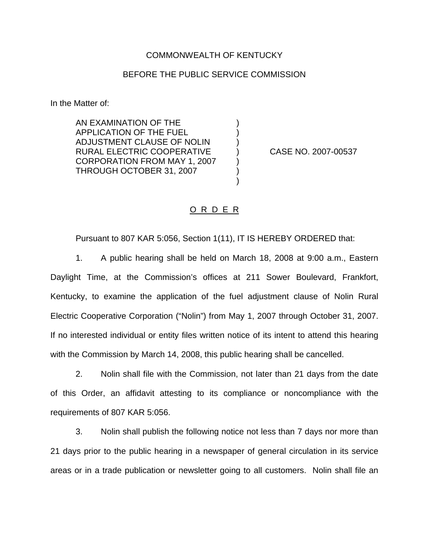## COMMONWEALTH OF KENTUCKY

## BEFORE THE PUBLIC SERVICE COMMISSION

) ) )

) ) )

In the Matter of:

AN EXAMINATION OF THE APPLICATION OF THE FUEL ADJUSTMENT CLAUSE OF NOLIN RURAL ELECTRIC COOPERATIVE CORPORATION FROM MAY 1, 2007 THROUGH OCTOBER 31, 2007

) CASE NO. 2007-00537

## O R D E R

Pursuant to 807 KAR 5:056, Section 1(11), IT IS HEREBY ORDERED that:

1. A public hearing shall be held on March 18, 2008 at 9:00 a.m., Eastern Daylight Time, at the Commission's offices at 211 Sower Boulevard, Frankfort, Kentucky, to examine the application of the fuel adjustment clause of Nolin Rural Electric Cooperative Corporation ("Nolin") from May 1, 2007 through October 31, 2007. If no interested individual or entity files written notice of its intent to attend this hearing with the Commission by March 14, 2008, this public hearing shall be cancelled.

2. Nolin shall file with the Commission, not later than 21 days from the date of this Order, an affidavit attesting to its compliance or noncompliance with the requirements of 807 KAR 5:056.

3. Nolin shall publish the following notice not less than 7 days nor more than 21 days prior to the public hearing in a newspaper of general circulation in its service areas or in a trade publication or newsletter going to all customers. Nolin shall file an